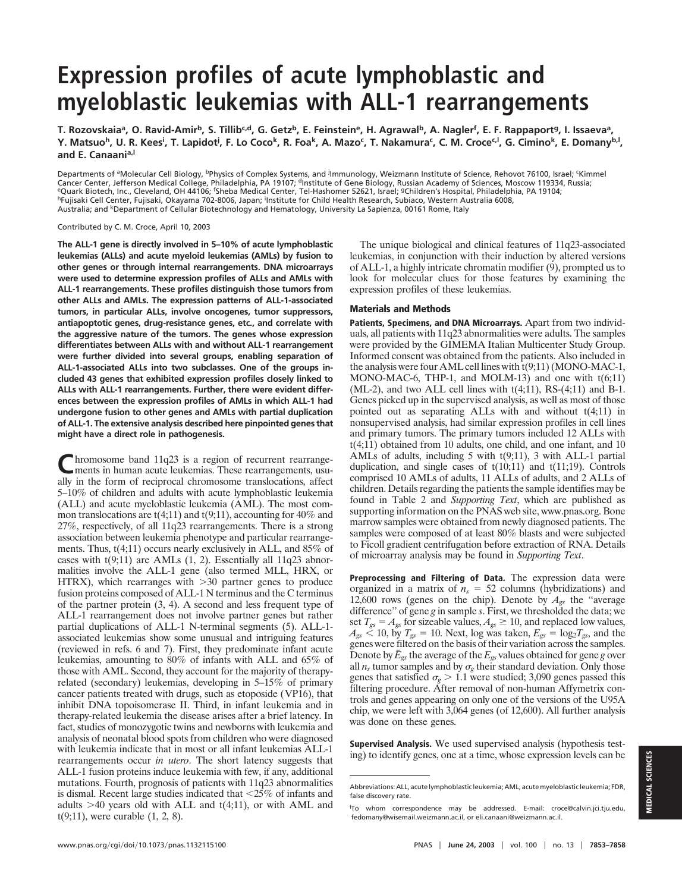# **Expression profiles of acute lymphoblastic and myeloblastic leukemias with ALL-1 rearrangements**

T. Rozovskaiaª, O. Ravid-Amir<sup>b</sup>, S. Tillib<sup>c,d</sup>, G. Getz<sup>b</sup>, E. Feinstein<sup>e</sup>, H. Agrawal<sup>b</sup>, A. Nagler<sup>f</sup>, E. F. Rappaport<sup>g</sup>, I. Issaevaª, Y. Matsuo<sup>h</sup>, U. R. Kees<sup>i</sup>, T. Lapidot<sup>j</sup>, F. Lo Coco<sup>k</sup>, R. Foa<sup>k</sup>, A. Mazo<sup>c</sup>, T. Nakamura<sup>c</sup>, C. M. Croce<sup>c,I</sup>, G. Cimino<sup>k</sup>, E. Domany<sup>b,I</sup>, **and E. Canaania,l**

Departments of <sup>a</sup>Molecular Cell Biology, <sup>bp</sup>hysics of Complex Systems, and <sup>j</sup>lmmunology, Weizmann Institute of Science, Rehovot 76100, Israel; 'Kimmel Cancer Center, Jefferson Medical College, Philadelphia, PA 19107; dInstitute of Gene Biology, Russian Academy of Sciences, Moscow 119334, Russia; <sup>e</sup>Quark Biotech, Inc., Cleveland, OH 44106; <sup>f</sup>Sheba Medical Center, Tel-Hashomer 52621, Israel; <sup>g</sup>Children's Hospital, Philadelphia, PA 19104; <sup>h</sup>Fujisaki Cell Center, Fujisaki, Okayama 702-8006, Japan; <sup>i</sup>Institute for Child Health Research, Subiaco, Western Australia 6008, Australia; and <sup>k</sup>Department of Cellular Biotechnology and Hematology, University La Sapienza, 00161 Rome, Italy

Contributed by C. M. Croce, April 10, 2003

**The ALL-1 gene is directly involved in 5–10% of acute lymphoblastic leukemias (ALLs) and acute myeloid leukemias (AMLs) by fusion to other genes or through internal rearrangements. DNA microarrays were used to determine expression profiles of ALLs and AMLs with ALL-1 rearrangements. These profiles distinguish those tumors from other ALLs and AMLs. The expression patterns of ALL-1-associated tumors, in particular ALLs, involve oncogenes, tumor suppressors, antiapoptotic genes, drug-resistance genes, etc., and correlate with the aggressive nature of the tumors. The genes whose expression differentiates between ALLs with and without ALL-1 rearrangement were further divided into several groups, enabling separation of ALL-1-associated ALLs into two subclasses. One of the groups included 43 genes that exhibited expression profiles closely linked to ALLs with ALL-1 rearrangements. Further, there were evident differences between the expression profiles of AMLs in which ALL-1 had undergone fusion to other genes and AMLs with partial duplication of ALL-1. The extensive analysis described here pinpointed genes that might have a direct role in pathogenesis.**

Chromosome band 11q23 is a region of recurrent rearrangements, usu-<br>ments in human acute leukemias. These rearrangements, usually in the form of reciprocal chromosome translocations, affect 5–10% of children and adults with acute lymphoblastic leukemia (ALL) and acute myeloblastic leukemia (AML). The most common translocations are  $t(4;11)$  and  $t(9;11)$ , accounting for 40% and 27%, respectively, of all 11q23 rearrangements. There is a strong association between leukemia phenotype and particular rearrangements. Thus, t(4;11) occurs nearly exclusively in ALL, and 85% of cases with t(9;11) are AMLs (1, 2). Essentially all 11q23 abnormalities involve the ALL-1 gene (also termed MLL, HRX, or HTRX), which rearranges with  $>30$  partner genes to produce fusion proteins composed of ALL-1 N terminus and the C terminus of the partner protein (3, 4). A second and less frequent type of ALL-1 rearrangement does not involve partner genes but rather partial duplications of ALL-1 N-terminal segments (5). ALL-1 associated leukemias show some unusual and intriguing features (reviewed in refs. 6 and 7). First, they predominate infant acute leukemias, amounting to 80% of infants with ALL and 65% of those with AML. Second, they account for the majority of therapyrelated (secondary) leukemias, developing in 5–15% of primary cancer patients treated with drugs, such as etoposide (VP16), that inhibit DNA topoisomerase II. Third, in infant leukemia and in therapy-related leukemia the disease arises after a brief latency. In fact, studies of monozygotic twins and newborns with leukemia and analysis of neonatal blood spots from children who were diagnosed with leukemia indicate that in most or all infant leukemias ALL-1 rearrangements occur *in utero*. The short latency suggests that ALL-1 fusion proteins induce leukemia with few, if any, additional mutations. Fourth, prognosis of patients with 11q23 abnormalities is dismal. Recent large studies indicated that  $\langle 25\% \rangle$  of infants and adults  $>40$  years old with ALL and  $t(4;11)$ , or with AML and t(9;11), were curable (1, 2, 8).

The unique biological and clinical features of 11q23-associated leukemias, in conjunction with their induction by altered versions of ALL-1, a highly intricate chromatin modifier (9), prompted us to look for molecular clues for those features by examining the expression profiles of these leukemias.

#### **Materials and Methods**

**Patients, Specimens, and DNA Microarrays.** Apart from two individuals, all patients with 11q23 abnormalities were adults. The samples were provided by the GIMEMA Italian Multicenter Study Group. Informed consent was obtained from the patients. Also included in the analysis were four AML cell lines with t(9;11) (MONO-MAC-1, MONO-MAC-6, THP-1, and MOLM-13) and one with t(6;11)  $(ML-2)$ , and two ALL cell lines with  $t(4;11)$ , RS- $(4;11)$  and B-1. Genes picked up in the supervised analysis, as well as most of those pointed out as separating ALLs with and without t(4;11) in nonsupervised analysis, had similar expression profiles in cell lines and primary tumors. The primary tumors included 12 ALLs with t(4;11) obtained from 10 adults, one child, and one infant, and 10 AMLs of adults, including 5 with t(9;11), 3 with ALL-1 partial duplication, and single cases of  $t(10;11)$  and  $t(11;19)$ . Controls comprised 10 AMLs of adults, 11 ALLs of adults, and 2 ALLs of children. Details regarding the patients the sample identifies may be found in Table 2 and *Supporting Text*, which are published as supporting information on the PNAS web site, www.pnas.org. Bone marrow samples were obtained from newly diagnosed patients. The samples were composed of at least 80% blasts and were subjected to Ficoll gradient centrifugation before extraction of RNA. Details of microarray analysis may be found in *Supporting Text*.

**Preprocessing and Filtering of Data.** The expression data were organized in a matrix of  $n<sub>s</sub> = 52$  columns (hybridizations) and 12,600 rows (genes on the chip). Denote by  $A_{gs}$  the "average" difference'' of gene *g* in sample *s*. First, we thresholded the data; we set  $T_{gs} = A_{gs}$  for sizeable values,  $A_{gs} \ge 10$ , and replaced low values,  $A_{gs}$  < 10, by  $T_{gs}$  = 10. Next, log was taken,  $E_{gs}$  = log<sub>2</sub> $T_{gs}$ , and the genes were filtered on the basis of their variation across the samples. Denote by  $\bar{E}_{gs}$  the average of the  $E_{gs}$  values obtained for gene *g* over all  $n_s$  tumor samples and by  $\sigma_g$  their standard deviation. Only those genes that satisfied  $\sigma_g > 1.1$  were studied; 3,090 genes passed this filtering procedure. After removal of non-human Affymetrix controls and genes appearing on only one of the versions of the U95A chip, we were left with 3,064 genes (of 12,600). All further analysis was done on these genes.

**Supervised Analysis.** We used supervised analysis (hypothesis testing) to identify genes, one at a time, whose expression levels can be

Abbreviations: ALL, acute lymphoblastic leukemia; AML, acute myeloblastic leukemia; FDR, false discovery rate.

l To whom correspondence may be addressed. E-mail: croce@calvin.jci.tju.edu, fedomany@wisemail.weizmann.ac.il, or eli.canaani@weizmann.ac.il.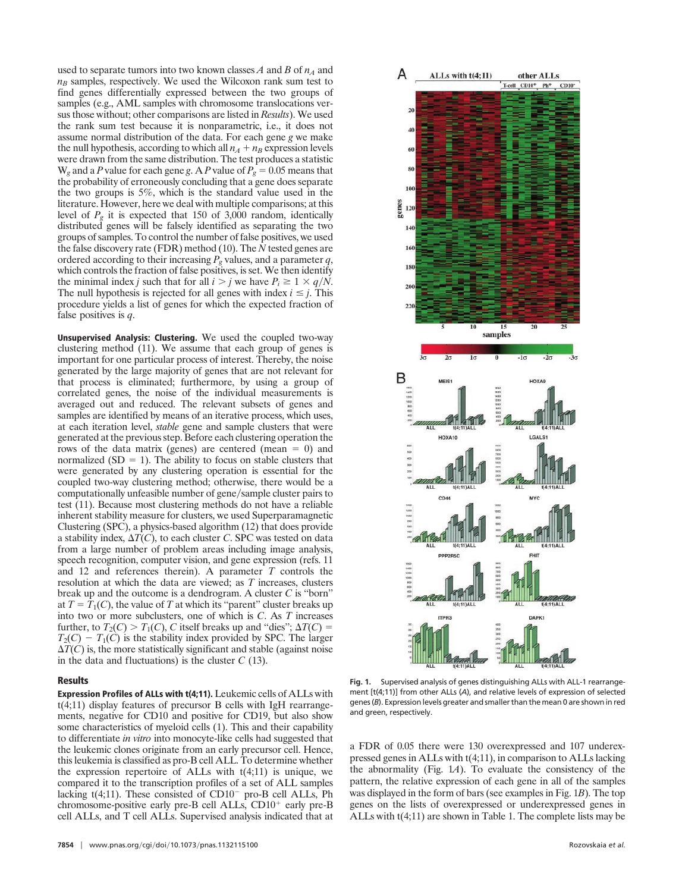used to separate tumors into two known classes  $A$  and  $B$  of  $n_A$  and  $n<sub>B</sub>$  samples, respectively. We used the Wilcoxon rank sum test to find genes differentially expressed between the two groups of samples (e.g., AML samples with chromosome translocations versus those without; other comparisons are listed in *Results*). We used the rank sum test because it is nonparametric, i.e., it does not assume normal distribution of the data. For each gene *g* we make the null hypothesis, according to which all  $n_A + n_B$  expression levels were drawn from the same distribution. The test produces a statistic  $W_g$  and a *P* value for each gene *g*. A *P* value of  $P_g = 0.05$  means that the probability of erroneously concluding that a gene does separate the two groups is 5%, which is the standard value used in the literature. However, here we deal with multiple comparisons; at this level of  $P_g$  it is expected that 150 of 3,000 random, identically distributed genes will be falsely identified as separating the two groups of samples. To control the number of false positives, we used the false discovery rate (FDR) method (10). The *N* tested genes are ordered according to their increasing *Pg* values, and a parameter *q*, which controls the fraction of false positives, is set. We then identify the minimal index *j* such that for all  $i > j$  we have  $P_i \geq 1 \times q/N$ . The null hypothesis is rejected for all genes with index  $i \leq j$ . This procedure yields a list of genes for which the expected fraction of false positives is *q*.

**Unsupervised Analysis: Clustering.** We used the coupled two-way clustering method (11). We assume that each group of genes is important for one particular process of interest. Thereby, the noise generated by the large majority of genes that are not relevant for that process is eliminated; furthermore, by using a group of correlated genes, the noise of the individual measurements is averaged out and reduced. The relevant subsets of genes and samples are identified by means of an iterative process, which uses, at each iteration level, *stable* gene and sample clusters that were generated at the previous step. Before each clustering operation the rows of the data matrix (genes) are centered (mean  $= 0$ ) and normalized  $(SD = 1)$ . The ability to focus on stable clusters that were generated by any clustering operation is essential for the coupled two-way clustering method; otherwise, there would be a computationally unfeasible number of gene/sample cluster pairs to test (11). Because most clustering methods do not have a reliable inherent stability measure for clusters, we used Superparamagnetic Clustering (SPC), a physics-based algorithm (12) that does provide a stability index,  $\Delta T(C)$ , to each cluster *C*. SPC was tested on data from a large number of problem areas including image analysis, speech recognition, computer vision, and gene expression (refs. 11 and 12 and references therein). A parameter *T* controls the resolution at which the data are viewed; as *T* increases, clusters break up and the outcome is a dendrogram. A cluster *C* is ''born'' at  $T = T_1(C)$ , the value of T at which its "parent" cluster breaks up into two or more subclusters, one of which is *C*. As *T* increases further, to  $T_2(C) > T_1(C)$ , *C* itself breaks up and "dies";  $\Delta T(C) =$  $T_2(C) - T_1(C)$  is the stability index provided by SPC. The larger  $\Delta T(C)$  is, the more statistically significant and stable (against noise in the data and fluctuations) is the cluster *C* (13).

### **Results**

**Expression Profiles of ALLs with t(4;11).** Leukemic cells of ALLs with t(4;11) display features of precursor B cells with IgH rearrangements, negative for CD10 and positive for CD19, but also show some characteristics of myeloid cells (1). This and their capability to differentiate *in vitro* into monocyte-like cells had suggested that the leukemic clones originate from an early precursor cell. Hence, this leukemia is classified as pro-B cell ALL. To determine whether the expression repertoire of ALLs with  $t(4;11)$  is unique, we compared it to the transcription profiles of a set of ALL samples lacking  $t(4;11)$ . These consisted of CD10<sup>-</sup> pro-B cell ALLs, Ph chromosome-positive early pre-B cell ALLs, CD10<sup>+</sup> early pre-B cell ALLs, and T cell ALLs. Supervised analysis indicated that at



**Fig. 1.** Supervised analysis of genes distinguishing ALLs with ALL-1 rearrangement [t(4;11)] from other ALLs (*A*), and relative levels of expression of selected genes (*B*). Expression levels greater and smaller than the mean 0 are shown in red and green, respectively.

a FDR of 0.05 there were 130 overexpressed and 107 underexpressed genes in ALLs with t(4;11), in comparison to ALLs lacking the abnormality (Fig. 1*A*). To evaluate the consistency of the pattern, the relative expression of each gene in all of the samples was displayed in the form of bars (see examples in Fig. 1*B*). The top genes on the lists of overexpressed or underexpressed genes in ALLs with t(4;11) are shown in Table 1. The complete lists may be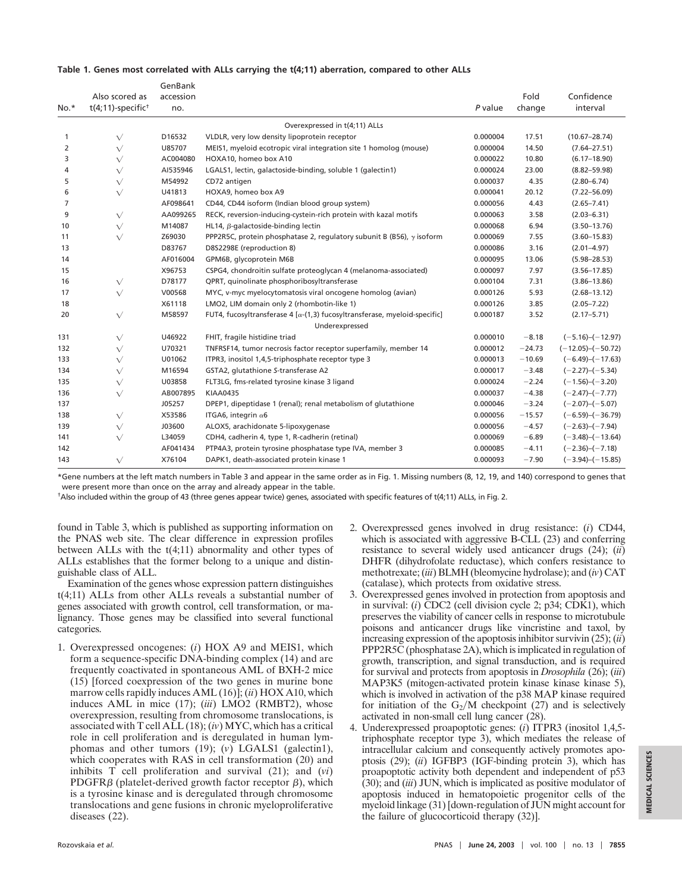#### **Table 1. Genes most correlated with ALLs carrying the t(4;11) aberration, compared to other ALLs**

|        |                                  | GenBank   |                                                                                  |          |          |                         |
|--------|----------------------------------|-----------|----------------------------------------------------------------------------------|----------|----------|-------------------------|
|        | Also scored as                   | accession |                                                                                  |          | Fold     | Confidence              |
| $No.*$ | $t(4;11)$ -specific <sup>+</sup> | no.       |                                                                                  | P value  | change   | interval                |
|        |                                  |           | Overexpressed in t(4;11) ALLs                                                    |          |          |                         |
| 1      | $\sqrt{}$                        | D16532    | VLDLR, very low density lipoprotein receptor                                     | 0.000004 | 17.51    | $(10.67 - 28.74)$       |
| 2      | $\sqrt{}$                        | U85707    | MEIS1, myeloid ecotropic viral integration site 1 homolog (mouse)                | 0.000004 | 14.50    | $(7.64 - 27.51)$        |
| 3      | $\sqrt{}$                        | AC004080  | HOXA10, homeo box A10                                                            | 0.000022 | 10.80    | $(6.17 - 18.90)$        |
| 4      | $\sqrt{}$                        | AI535946  | LGALS1, lectin, galactoside-binding, soluble 1 (galectin1)                       | 0.000024 | 23.00    | $(8.82 - 59.98)$        |
| 5      | $\sqrt{}$                        | M54992    | CD72 antigen                                                                     | 0.000037 | 4.35     | $(2.80 - 6.74)$         |
| 6      | $\sqrt{}$                        | U41813    | HOXA9, homeo box A9                                                              | 0.000041 | 20.12    | $(7.22 - 56.09)$        |
| 7      |                                  | AF098641  | CD44, CD44 isoform (Indian blood group system)                                   | 0.000056 | 4.43     | $(2.65 - 7.41)$         |
| 9      | $\sqrt{}$                        | AA099265  | RECK, reversion-inducing-cystein-rich protein with kazal motifs                  | 0.000063 | 3.58     | $(2.03 - 6.31)$         |
| 10     | $\sqrt{}$                        | M14087    | HL14, $\beta$ -galactoside-binding lectin                                        | 0.000068 | 6.94     | $(3.50 - 13.76)$        |
| 11     | $\sqrt{}$                        | Z69030    | PPP2R5C, protein phosphatase 2, regulatory subunit B (B56), $\gamma$ isoform     | 0.000069 | 7.55     | $(3.60 - 15.83)$        |
| 13     |                                  | D83767    | D8S2298E (reproduction 8)                                                        | 0.000086 | 3.16     | $(2.01 - 4.97)$         |
| 14     |                                  | AF016004  | GPM6B, glycoprotein M6B                                                          | 0.000095 | 13.06    | $(5.98 - 28.53)$        |
| 15     |                                  | X96753    | CSPG4, chondroitin sulfate proteoglycan 4 (melanoma-associated)                  | 0.000097 | 7.97     | $(3.56 - 17.85)$        |
| 16     | $\sqrt{}$                        | D78177    | QPRT, quinolinate phosphoribosyltransferase                                      | 0.000104 | 7.31     | $(3.86 - 13.86)$        |
| 17     | $\sqrt{}$                        | V00568    | MYC, v-myc myelocytomatosis viral oncogene homolog (avian)                       | 0.000126 | 5.93     | $(2.68 - 13.12)$        |
| 18     |                                  | X61118    | LMO2, LIM domain only 2 (rhombotin-like 1)                                       | 0.000126 | 3.85     | $(2.05 - 7.22)$         |
| 20     | $\sqrt{}$                        | M58597    | FUT4, fucosyltransferase 4 $[\alpha-(1,3)$ fucosyltransferase, myeloid-specific] | 0.000187 | 3.52     | $(2.17 - 5.71)$         |
|        |                                  |           | Underexpressed                                                                   |          |          |                         |
| 131    | $\sqrt{}$                        | U46922    | FHIT, fragile histidine triad                                                    | 0.000010 | $-8.18$  | $(-5.16) - (-12.97)$    |
| 132    | $\sqrt{}$                        | U70321    | TNFRSF14, tumor necrosis factor receptor superfamily, member 14                  | 0.000012 | $-24.73$ | $(-12.05)$ - $(-50.72)$ |
| 133    | $\sqrt{}$                        | U01062    | ITPR3, inositol 1,4,5-triphosphate receptor type 3                               | 0.000013 | $-10.69$ | $(-6.49) - (-17.63)$    |
| 134    | $\sqrt{}$                        | M16594    | GSTA2, glutathione S-transferase A2                                              | 0.000017 | $-3.48$  | $(-2.27)$ - $(-5.34)$   |
| 135    | $\sqrt{}$                        | U03858    | FLT3LG, fms-related tyrosine kinase 3 ligand                                     | 0.000024 | $-2.24$  | $(-1.56)$ - $(-3.20)$   |
| 136    | $\sqrt{}$                        | AB007895  | <b>KIAA0435</b>                                                                  | 0.000037 | $-4.38$  | $(-2.47)$ - $(-7.77)$   |
| 137    |                                  | J05257    | DPEP1, dipeptidase 1 (renal); renal metabolism of glutathione                    | 0.000046 | $-3.24$  | $(-2.07)$ - $(-5.07)$   |
| 138    | $\sqrt{}$                        | X53586    | ITGA6, integrin $\alpha$ 6                                                       | 0.000056 | $-15.57$ | $(-6.59)$ - $(-36.79)$  |
| 139    | $\sqrt{}$                        | J03600    | ALOX5, arachidonate 5-lipoxygenase                                               | 0.000056 | $-4.57$  | $(-2.63) - (-7.94)$     |
| 141    | $\sqrt{}$                        | L34059    | CDH4, cadherin 4, type 1, R-cadherin (retinal)                                   | 0.000069 | $-6.89$  | $(-3.48)$ - $(-13.64)$  |
| 142    |                                  | AF041434  | PTP4A3, protein tyrosine phosphatase type IVA, member 3                          | 0.000085 | $-4.11$  | $(-2.36) - (-7.18)$     |
| 143    | $\sqrt{}$                        | X76104    | DAPK1, death-associated protein kinase 1                                         | 0.000093 | $-7.90$  | $(-3.94)$ - $(-15.85)$  |

\*Gene numbers at the left match numbers in Table 3 and appear in the same order as in Fig. 1. Missing numbers (8, 12, 19, and 140) correspond to genes that were present more than once on the array and already appear in the table.

†Also included within the group of 43 (three genes appear twice) genes, associated with specific features of t(4;11) ALLs, in Fig. 2.

found in Table 3, which is published as supporting information on the PNAS web site. The clear difference in expression profiles between ALLs with the t(4;11) abnormality and other types of ALLs establishes that the former belong to a unique and distinguishable class of ALL.

Examination of the genes whose expression pattern distinguishes t(4;11) ALLs from other ALLs reveals a substantial number of genes associated with growth control, cell transformation, or malignancy. Those genes may be classified into several functional categories.

- 1. Overexpressed oncogenes: (*i*) HOX A9 and MEIS1, which form a sequence-specific DNA-binding complex (14) and are frequently coactivated in spontaneous AML of BXH-2 mice (15) [forced coexpression of the two genes in murine bone marrow cells rapidly induces AML (16)]; (*ii*) HOX A10, which induces AML in mice (17); (*iii*) LMO2 (RMBT2), whose overexpression, resulting from chromosome translocations, is associated with T cell ALL (18); (*iv*) MYC, which has a critical role in cell proliferation and is deregulated in human lymphomas and other tumors (19); (*v*) LGALS1 (galectin1), which cooperates with RAS in cell transformation (20) and inhibits T cell proliferation and survival (21); and (*vi*) PDGFR $\beta$  (platelet-derived growth factor receptor  $\beta$ ), which is a tyrosine kinase and is deregulated through chromosome translocations and gene fusions in chronic myeloproliferative diseases (22).
- 2. Overexpressed genes involved in drug resistance: (*i*) CD44, which is associated with aggressive B-CLL (23) and conferring resistance to several widely used anticancer drugs (24); (*ii*) DHFR (dihydrofolate reductase), which confers resistance to methotrexate; (*iii*) BLMH (bleomycine hydrolase); and (*iv*) CAT (catalase), which protects from oxidative stress.
- 3. Overexpressed genes involved in protection from apoptosis and in survival: (*i*) CDC2 (cell division cycle 2; p34; CDK1), which preserves the viability of cancer cells in response to microtubule poisons and anticancer drugs like vincristine and taxol, by increasing expression of the apoptosis inhibitor survivin (25); (*ii*) PPP2R5C (phosphatase 2A), which is implicated in regulation of growth, transcription, and signal transduction, and is required for survival and protects from apoptosis in *Drosophila* (26); (*iii*) MAP3K5 (mitogen-activated protein kinase kinase kinase 5), which is involved in activation of the p38 MAP kinase required for initiation of the  $G_2/M$  checkpoint (27) and is selectively activated in non-small cell lung cancer (28).
- 4. Underexpressed proapoptotic genes: (*i*) ITPR3 (inositol 1,4,5 triphosphate receptor type 3), which mediates the release of intracellular calcium and consequently actively promotes apoptosis (29); (*ii*) IGFBP3 (IGF-binding protein 3), which has proapoptotic activity both dependent and independent of p53 (30); and (*iii*) JUN, which is implicated as positive modulator of apoptosis induced in hematopoietic progenitor cells of the myeloid linkage (31) [down-regulation of JUN might account for the failure of glucocorticoid therapy (32)].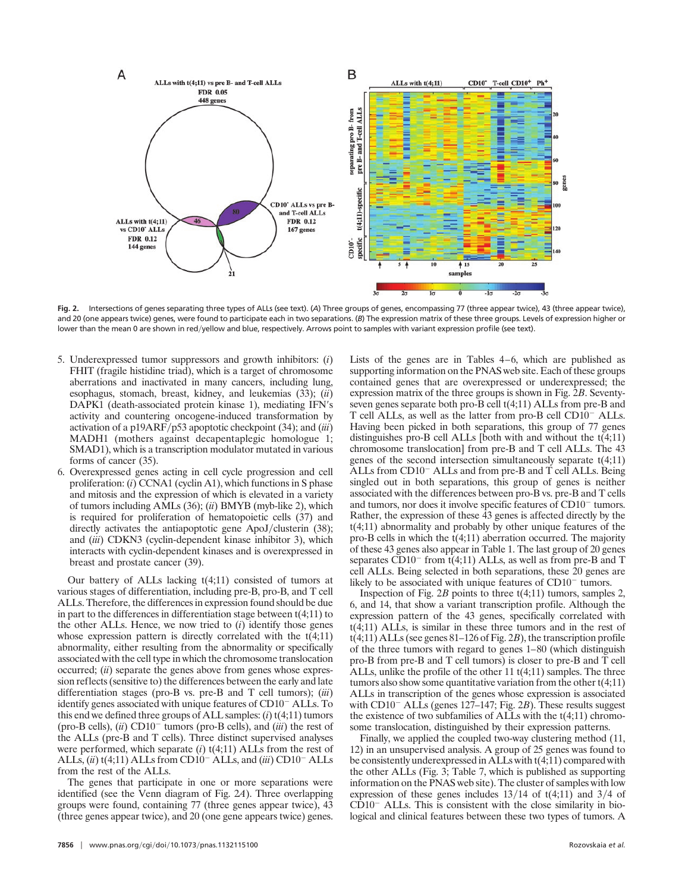

**Fig. 2.** Intersections of genes separating three types of ALLs (see text). (*A*) Three groups of genes, encompassing 77 (three appear twice), 43 (three appear twice), and 20 (one appears twice) genes, were found to participate each in two separations. (*B*) The expression matrix of these three groups. Levels of expression higher or lower than the mean 0 are shown in red/yellow and blue, respectively. Arrows point to samples with variant expression profile (see text).

- 5. Underexpressed tumor suppressors and growth inhibitors: (*i*) FHIT (fragile histidine triad), which is a target of chromosome aberrations and inactivated in many cancers, including lung, esophagus, stomach, breast, kidney, and leukemias (33); (*ii*) DAPK1 (death-associated protein kinase 1), mediating IFN's activity and countering oncogene-induced transformation by activation of a p19ARF/p53 apoptotic checkpoint (34); and (*iii*) MADH1 (mothers against decapentaplegic homologue 1; SMAD1), which is a transcription modulator mutated in various forms of cancer (35).
- 6. Overexpressed genes acting in cell cycle progression and cell proliferation: (*i*) CCNA1 (cyclin A1), which functions in S phase and mitosis and the expression of which is elevated in a variety of tumors including AMLs (36); (*ii*) BMYB (myb-like 2), which is required for proliferation of hematopoietic cells (37) and directly activates the antiapoptotic gene ApoJ/clusterin (38); and (*iii*) CDKN3 (cyclin-dependent kinase inhibitor 3), which interacts with cyclin-dependent kinases and is overexpressed in breast and prostate cancer (39).

Our battery of ALLs lacking t(4;11) consisted of tumors at various stages of differentiation, including pre-B, pro-B, and T cell ALLs. Therefore, the differences in expression found should be due in part to the differences in differentiation stage between  $t(4;11)$  to the other ALLs. Hence, we now tried to (*i*) identify those genes whose expression pattern is directly correlated with the  $t(4;11)$ abnormality, either resulting from the abnormality or specifically associated with the cell type in which the chromosome translocation occurred; (*ii*) separate the genes above from genes whose expression reflects (sensitive to) the differences between the early and late differentiation stages (pro-B vs. pre-B and T cell tumors); (*iii*) identify genes associated with unique features of  $CD10<sup>-</sup> ALLs$ . To this end we defined three groups of ALL samples: (*i*) t(4;11) tumors (pro-B cells),  $(ii)$  CD10<sup>-</sup> tumors (pro-B cells), and  $(iii)$  the rest of the ALLs (pre-B and T cells). Three distinct supervised analyses were performed, which separate (*i*) t(4;11) ALLs from the rest of ALLs, (*ii*) t(4;11) ALLs from CD10<sup>-</sup> ALLs, and (*iii*) CD10<sup>-</sup> ALLs from the rest of the ALLs.

The genes that participate in one or more separations were identified (see the Venn diagram of Fig. 2*A*). Three overlapping groups were found, containing 77 (three genes appear twice), 43 (three genes appear twice), and 20 (one gene appears twice) genes.

**7856** | www.pnas.org/cgi/doi/10.1073/pnas.1132115100 Rozovskaia *et al.* 

Lists of the genes are in Tables 4–6, which are published as supporting information on the PNAS web site. Each of these groups contained genes that are overexpressed or underexpressed; the expression matrix of the three groups is shown in Fig. 2*B*. Seventyseven genes separate both pro-B cell t(4;11) ALLs from pre-B and T cell ALLs, as well as the latter from pro-B cell  $CD10^-$  ALLs. Having been picked in both separations, this group of 77 genes distinguishes pro-B cell ALLs [both with and without the t(4;11) chromosome translocation] from pre-B and T cell ALLs. The 43 genes of the second intersection simultaneously separate t(4;11) ALLs from  $CD10^-$  ALLs and from pre-B and T cell ALLs. Being singled out in both separations, this group of genes is neither associated with the differences between pro-B vs. pre-B and T cells and tumors, nor does it involve specific features of CD10<sup>-</sup> tumors. Rather, the expression of these 43 genes is affected directly by the t(4;11) abnormality and probably by other unique features of the pro-B cells in which the t(4;11) aberration occurred. The majority of these 43 genes also appear in Table 1. The last group of 20 genes separates  $CD10^-$  from t(4;11) ALLs, as well as from pre-B and T cell ALLs. Being selected in both separations, these 20 genes are likely to be associated with unique features of  $CD10<sup>-</sup>$  tumors.

Inspection of Fig. 2*B* points to three t(4;11) tumors, samples 2, 6, and 14, that show a variant transcription profile. Although the expression pattern of the 43 genes, specifically correlated with t(4;11) ALLs, is similar in these three tumors and in the rest of t(4;11) ALLs (see genes 81–126 of Fig. 2*B*), the transcription profile of the three tumors with regard to genes 1–80 (which distinguish pro-B from pre-B and T cell tumors) is closer to pre-B and T cell ALLs, unlike the profile of the other 11 t(4;11) samples. The three tumors also show some quantitative variation from the other  $t(4;11)$ ALLs in transcription of the genes whose expression is associated with  $CD10^-$  ALLs (genes 127–147; Fig. 2*B*). These results suggest the existence of two subfamilies of ALLs with the t(4;11) chromosome translocation, distinguished by their expression patterns.

Finally, we applied the coupled two-way clustering method (11, 12) in an unsupervised analysis. A group of 25 genes was found to be consistently underexpressed in ALLs with t(4;11) compared with the other ALLs (Fig. 3; Table 7, which is published as supporting information on the PNAS web site). The cluster of samples with low expression of these genes includes  $13/14$  of t(4;11) and  $3/4$  of  $CD10^-$  ALLs. This is consistent with the close similarity in biological and clinical features between these two types of tumors. A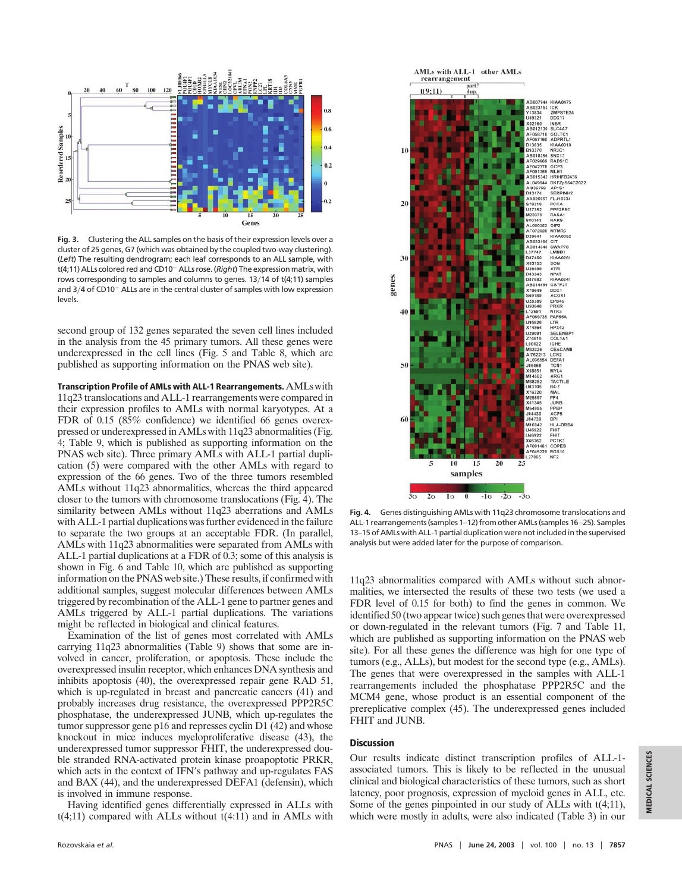

**Fig. 3.** Clustering the ALL samples on the basis of their expression levels over a cluster of 25 genes, G7 (which was obtained by the coupled two-way clustering). (*Left*) The resulting dendrogram; each leaf corresponds to an ALL sample, with t(4;11) ALLs colored red and CD10 ALLs rose. (*Right*) The expression matrix, with rows corresponding to samples and columns to genes.  $13/14$  of t(4;11) samples and  $3/4$  of CD10<sup>-</sup> ALLs are in the central cluster of samples with low expression levels.

second group of 132 genes separated the seven cell lines included in the analysis from the 45 primary tumors. All these genes were underexpressed in the cell lines (Fig. 5 and Table 8, which are published as supporting information on the PNAS web site).

**Transcription Profile of AMLs with ALL-1 Rearrangements.** AMLs with 11q23 translocations and ALL-1 rearrangements were compared in their expression profiles to AMLs with normal karyotypes. At a FDR of 0.15 (85% confidence) we identified 66 genes overexpressed or underexpressed in AMLs with 11q23 abnormalities (Fig. 4; Table 9, which is published as supporting information on the PNAS web site). Three primary AMLs with ALL-1 partial duplication (5) were compared with the other AMLs with regard to expression of the 66 genes. Two of the three tumors resembled AMLs without 11q23 abnormalities, whereas the third appeared closer to the tumors with chromosome translocations (Fig. 4). The similarity between AMLs without 11q23 aberrations and AMLs with ALL-1 partial duplications was further evidenced in the failure to separate the two groups at an acceptable FDR. (In parallel, AMLs with 11q23 abnormalities were separated from AMLs with ALL-1 partial duplications at a FDR of 0.3; some of this analysis is shown in Fig. 6 and Table 10, which are published as supporting information on the PNAS web site.) These results, if confirmed with additional samples, suggest molecular differences between AMLs triggered by recombination of the ALL-1 gene to partner genes and AMLs triggered by ALL-1 partial duplications. The variations might be reflected in biological and clinical features.

Examination of the list of genes most correlated with AMLs carrying 11q23 abnormalities (Table 9) shows that some are involved in cancer, proliferation, or apoptosis. These include the overexpressed insulin receptor, which enhances DNA synthesis and inhibits apoptosis (40), the overexpressed repair gene RAD 51, which is up-regulated in breast and pancreatic cancers (41) and probably increases drug resistance, the overexpressed PPP2R5C phosphatase, the underexpressed JUNB, which up-regulates the tumor suppressor gene p16 and represses cyclin D1 (42) and whose knockout in mice induces myeloproliferative disease (43), the underexpressed tumor suppressor FHIT, the underexpressed double stranded RNA-activated protein kinase proapoptotic PRKR, which acts in the context of IFN's pathway and up-regulates FAS and BAX (44), and the underexpressed DEFA1 (defensin), which is involved in immune response.

Having identified genes differentially expressed in ALLs with t(4;11) compared with ALLs without t(4:11) and in AMLs with



**Fig. 4.** Genes distinguishing AMLs with 11q23 chromosome translocations and ALL-1 rearrangements (samples 1–12) from other AMLs (samples 16–25). Samples 13–15 of AMLs with ALL-1 partial duplication were not included in the supervised analysis but were added later for the purpose of comparison.

11q23 abnormalities compared with AMLs without such abnormalities, we intersected the results of these two tests (we used a FDR level of 0.15 for both) to find the genes in common. We identified 50 (two appear twice) such genes that were overexpressed or down-regulated in the relevant tumors (Fig. 7 and Table 11, which are published as supporting information on the PNAS web site). For all these genes the difference was high for one type of tumors (e.g., ALLs), but modest for the second type (e.g., AMLs). The genes that were overexpressed in the samples with ALL-1 rearrangements included the phosphatase PPP2R5C and the MCM4 gene, whose product is an essential component of the prereplicative complex (45). The underexpressed genes included FHIT and JUNB.

## **Discussion**

Our results indicate distinct transcription profiles of ALL-1 associated tumors. This is likely to be reflected in the unusual clinical and biological characteristics of these tumors, such as short latency, poor prognosis, expression of myeloid genes in ALL, etc. Some of the genes pinpointed in our study of ALLs with t(4;11), which were mostly in adults, were also indicated (Table 3) in our